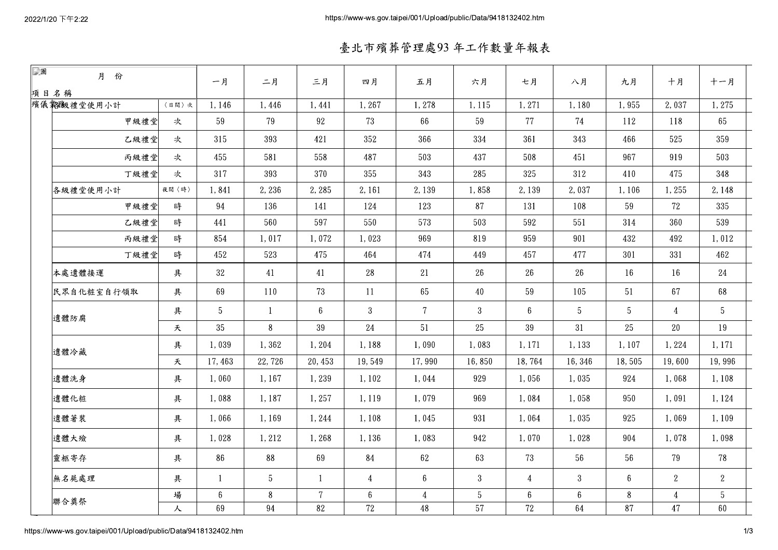臺北市殯葬管理處93年工作數量年報表

| $\Box$ | 月 份        |       | 一月             | 二月           | 三月             | 四月              | 五月             | 六月              | 七月               | 八月              | 九月              | 十月             | 十一月             |  |
|--------|------------|-------|----------------|--------------|----------------|-----------------|----------------|-----------------|------------------|-----------------|-----------------|----------------|-----------------|--|
|        | 項目名稱       |       |                |              |                |                 |                |                 |                  |                 |                 |                |                 |  |
|        | 殯儀義繳禮堂使用小計 | 〈日間〉次 | 1,146          | 1,446        | 1,441          | 1,267           | 1,278          | 1,115           | 1,271            | 1,180           | 1,955           | 2,037          | 1,275           |  |
|        | 甲級禮堂       | 次     | 59             | 79           | 92             | 73              | 66             | 59              | 77               | 74              | 112             | 118            | 65              |  |
|        | 乙級禮堂       | 次     | 315            | 393          | 421            | 352             | 366            | 334             | 361              | 343             | 466             | 525            | 359             |  |
|        | 丙級禮堂       | 次     | 455            | 581          | 558            | 487             | 503            | 437             | 508              | 451             | 967             | 919            | 503             |  |
|        | 丁級禮堂       | 次     | 317            | 393          | 370            | 355             | 343            | 285             | 325              | 312             | 410             | 475            | 348             |  |
|        | 各級禮堂使用小計   | 夜間〈時〉 | 1,841          | 2,236        | 2,285          | 2, 161          | 2,139          | 1,858           | 2,139            | 2,037           | 1,106           | 1,255          | 2, 148          |  |
|        | 甲級禮堂       | 時     | 94             | 136          | 141            | 124             | 123            | 87              | 131              | 108             | 59              | 72             | 335             |  |
|        | 乙級禮堂       | 時     | 441            | 560          | 597            | 550             | 573            | 503             | 592              | 551             | 314             | 360            | 539             |  |
|        | 丙級禮堂       | 時     | 854            | 1,017        | 1,072          | 1,023           | 969            | 819             | 959              | 901             | 432             | 492            | 1,012           |  |
|        | 丁級禮堂       | 時     | 452            | 523          | 475            | 464             | 474            | 449             | 457              | 477             | 301             | 331            | 462             |  |
|        | 本處遺體接運     | 具     | 32             | 41           | 41             | 28              | 21             | 26              | 26               | 26              | 16              | 16             | $24\,$          |  |
|        | 民眾自化粧室自行領取 | 具     | 69             | 110          | 73             | 11              | 65             | 40              | 59               | 105             | 51              | 67             | 68              |  |
|        | 遺體防腐       | 具     | $\overline{5}$ | $\mathbf{1}$ | 6 <sup>1</sup> | $\mathbf{3}$    | $7\phantom{.}$ | $\overline{3}$  | $\boldsymbol{6}$ | $5\phantom{.0}$ | $5\phantom{.0}$ | $\overline{4}$ | $5\phantom{.0}$ |  |
|        |            | 天     | 35             | 8            | 39             | 24              | 51             | 25              | 39               | 31              | 25              | 20             | 19              |  |
|        | 遺體冷藏       | 具     | 1,039          | 1,362        | 1,204          | 1,188           | 1,090          | 1,083           | 1,171            | 1,133           | 1,107           | 1,224          | 1,171           |  |
|        |            | 夭     | 17,463         | 22,726       | 20, 453        | 19,549          | 17,990         | 16,850          | 18,764           | 16,346          | 18,505          | 19,600         | 19,996          |  |
|        | 遺體洗身       | 具     | 1,060          | 1,167        | 1,239          | 1,102           | 1,044          | 929             | 1,056            | 1,035           | 924             | 1,068          | 1,108           |  |
|        | 遺體化粧       | 具     | 1,088          | 1,187        | 1,257          | 1.119           | 1,079          | 969             | 1,084            | 1,058           | 950             | 1,091          | 1,124           |  |
|        | 遺體著裝       | 具     | 1,066          | 1,169        | 1,244          | 1,108           | 1,045          | 931             | 1,064            | 1,035           | 925             | 1,069          | 1, 109          |  |
|        | 遺體大殮       | 具     | 1,028          | 1,212        | 1,268          | 1,136           | 1,083          | 942             | 1,070            | 1,028           | 904             | 1,078          | 1,098           |  |
|        | 靈柩寄存       | 具     | 86             | 88           | 69             | 84              | 62             | 63              | 73               | 56              | 56              | 79             | 78              |  |
|        | 無名屍處理      | 具     | $\overline{1}$ | -5           | -1             | 4               | 6              | 3               | 4                | 3               | 6               | $2^{\circ}$    | 2               |  |
|        |            | 場     | 6              | 8            | $\overline{7}$ | $6\phantom{.0}$ | $\overline{4}$ | $5\phantom{.0}$ | $6\overline{6}$  | 6               | 8               | $\overline{4}$ | 5               |  |
|        | 聯合奠祭       | 人     | 69             | 94           | 82             | 72              | 48             | 57              | 72               | 64              | 87              | 47             | 60              |  |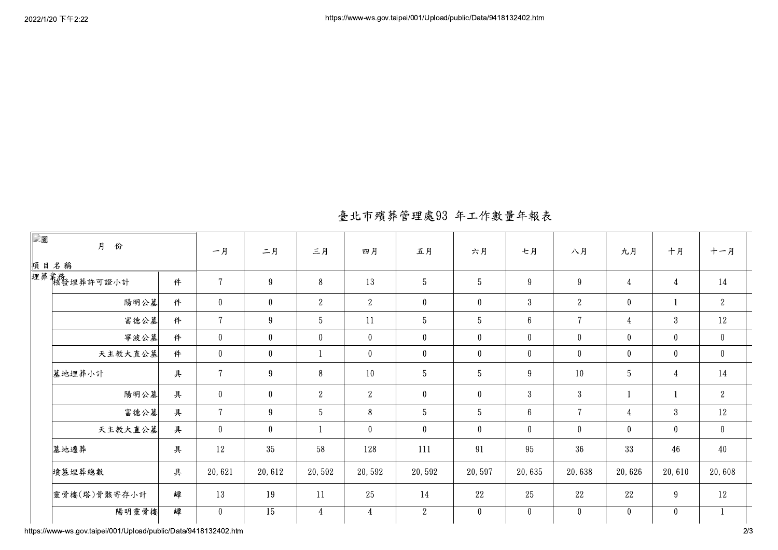| 臺北市殯葬管理處93 年工作數量年報表 |  |
|---------------------|--|

| □圖<br>月<br>份              |           | 一月             | 二月               | 三月              | 四月             | 五月              | 六月              | 七月           | 八月             | 九月             | 十月             | 十一月            |
|---------------------------|-----------|----------------|------------------|-----------------|----------------|-----------------|-----------------|--------------|----------------|----------------|----------------|----------------|
| 埋葬業務<br>埋葬業務<br>核發埋葬許可證小計 | 項目名稱<br>件 |                |                  | 8               | 13             | $5\phantom{.0}$ | $\overline{5}$  | 9            | 9              | $\overline{4}$ | $\overline{4}$ | 14             |
|                           |           | $\overline{7}$ | 9                |                 |                |                 |                 |              |                |                |                |                |
| 陽明公墓                      | 件         | $\mathbf{0}$   | $\boldsymbol{0}$ | $\overline{2}$  | 2              | $\mathbf{0}$    | $\mathbf{0}$    | $\mathbf{3}$ | 2              | $\overline{0}$ |                | 2              |
| 富德公墓                      | 件         | $\overline{7}$ | 9                | $5\phantom{.0}$ | 11             | $\overline{5}$  | 5               | $6\,$        | $\mathbf 7$    | 4              | $\mathbf{3}$   | 12             |
| 寧波公墓                      | 件         | $\mathbf{0}$   | $\overline{0}$   | $\overline{0}$  | $\overline{0}$ | $\theta$        | $\bf{0}$        | $\bf{0}$     | $\mathbf{0}$   | $\mathbf{0}$   | $\bf{0}$       | $\overline{0}$ |
| 天主教大直公墓                   | 件         | $\mathbf{0}$   | $\bf{0}$         |                 | $\overline{0}$ | $\overline{0}$  | $\bf{0}$        | $\bf{0}$     | $\overline{0}$ | $\overline{0}$ | $\mathbf{0}$   | $\mathbf{0}$   |
| 墓地埋葬小計                    | 具         | $\overline{7}$ | 9                | 8               | 10             | $5\phantom{.0}$ | $5\phantom{.0}$ | 9            | 10             | $\overline{5}$ | $\overline{4}$ | 14             |
| 陽明公墓                      | 具         | $\overline{0}$ | $\overline{0}$   | $2^{\circ}$     | $\overline{2}$ | $\overline{0}$  | $\mathbf{0}$    | $\mathbf{3}$ | $\overline{3}$ |                |                | 2              |
| 富德公墓                      | 具         | $\overline{7}$ | $9\phantom{.0}$  | $5\phantom{.0}$ | 8              | 5 <sup>5</sup>  | $\overline{5}$  | $6\,$        | $\overline{7}$ | 4              | $\overline{3}$ | 12             |
| 天主教大直公墓                   | 具         | $\mathbf{0}$   | $\overline{0}$   |                 | $\theta$       | $\overline{0}$  | $\mathbf{0}$    | $\mathbf{0}$ | $\overline{0}$ | $\overline{0}$ | $\mathbf{0}$   | $\overline{0}$ |
| 墓地遷葬                      | 具         | 12             | 35               | 58              | 128            | 111             | 91              | 95           | 36             | 33             | 46             | 40             |
| 墳墓埋葬總數                    | 具         | 20,621         | 20,612           | 20,592          | 20,592         | 20,592          | 20,597          | 20,635       | 20,638         | 20,626         | 20,610         | 20,608         |
| 靈骨樓(塔)骨骸寄存小計              | 罈         | 13             | 19               | 11              | 25             | 14              | 22              | 25           | 22             | 22             | 9              | 12             |
| 陽明靈骨樓                     | 罈         | $\overline{0}$ | $\overline{15}$  | $\overline{4}$  | $\overline{4}$ | 2               | $\pmb{0}$       | $\pmb{0}$    | $\overline{0}$ | $\mathbf{0}$   | $\mathbf{0}$   |                |

https://www-ws.gov.taipei/001/Upload/public/Data/9418132402.htm